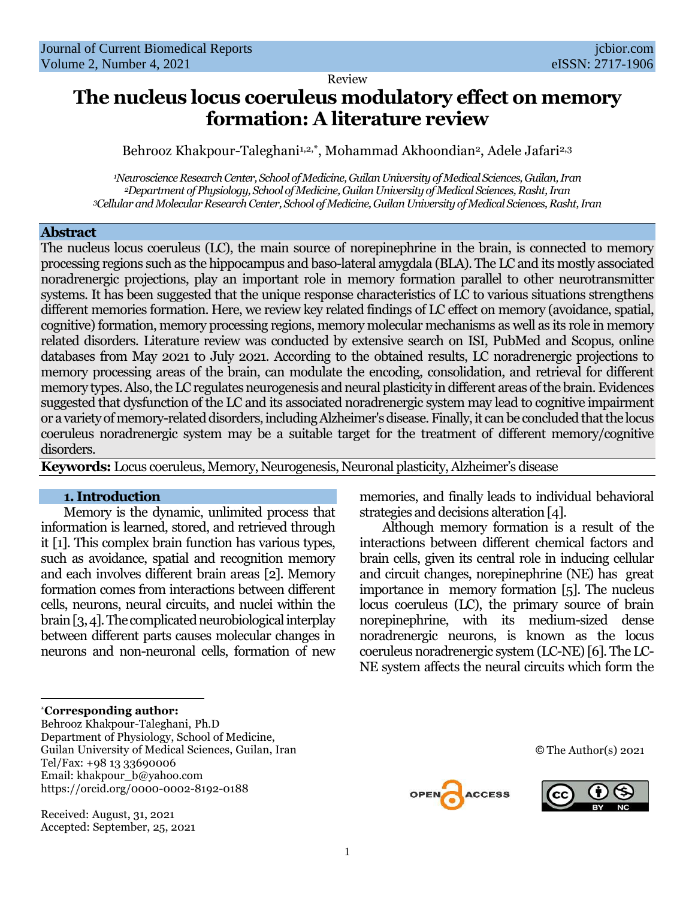Review

# **The nucleus locus coeruleus modulatory effect on memory formation: A literature review**

Behrooz Khakpour-Taleghani1,2,\*, Mohammad Akhoondian<sup>2</sup>, Adele Jafari<sup>2,3</sup>

*<sup>1</sup>Neuroscience Research Center, School of Medicine, Guilan University of Medical Sciences, Guilan, Iran <sup>2</sup>Department of Physiology, School of Medicine, Guilan University of Medical Sciences, Rasht, Iran <sup>3</sup>Cellular and Molecular Research Center, School of Medicine, Guilan University of Medical Sciences, Rasht, Iran*

## **Abstract**

The nucleus locus coeruleus (LC), the main source of norepinephrine in the brain, is connected to memory processing regions such as the hippocampus and baso-lateral amygdala (BLA). The LC and its mostly associated noradrenergic projections, play an important role in memory formation parallel to other neurotransmitter systems. It has been suggested that the unique response characteristics of LC to various situations strengthens different memories formation. Here, we review key related findings of LC effect on memory (avoidance, spatial, cognitive) formation, memory processing regions, memory molecular mechanisms as well as its role in memory related disorders. Literature review was conducted by extensive search on ISI, PubMed and Scopus, online databases from May 2021 to July 2021. According to the obtained results, LC noradrenergic projections to memory processing areas of the brain, can modulate the encoding, consolidation, and retrieval for different memory types. Also, the LC regulates neurogenesis and neural plasticity in different areas of the brain. Evidences suggested that dysfunction of the LC and its associated noradrenergic system may lead to cognitive impairment or a variety of memory-related disorders, including Alzheimer's disease. Finally, it can be concluded that the locus coeruleus noradrenergic system may be a suitable target for the treatment of different memory/cognitive disorders.

**Keywords:** Locus coeruleus, Memory, Neurogenesis, Neuronal plasticity, Alzheimer's disease

#### **1. Introduction**

Memory is the dynamic, unlimited process that information is learned, stored, and retrieved through it [1]. This complex brain function has various types, such as avoidance, spatial and recognition memory and each involves different brain areas [2]. Memory formation comes from interactions between different cells, neurons, neural circuits, and nuclei within the brain[3, 4]. The complicated neurobiological interplay between different parts causes molecular changes in neurons and non-neuronal cells, formation of new

\***Corresponding author:** 

 $\overline{\phantom{a}}$ 

Behrooz Khakpour-Taleghani, Ph.D Department of Physiology, School of Medicine, Guilan University of Medical Sciences, Guilan, Iran Tel/Fax: +98 13 33690006 Email: khakpour\_b@yahoo.com https://orcid.org/0000-0002-8192-0188

Received: August, 31, 2021 Accepted: September, 25, 2021 memories, and finally leads to individual behavioral strategies and decisions alteration [4].

Although memory formation is a result of the interactions between different chemical factors and brain cells, given its central role in inducing cellular and circuit changes, norepinephrine (NE) has great importance in memory formation [5]. The nucleus locus coeruleus (LC), the primary source of brain norepinephrine, with its medium-sized dense noradrenergic neurons, is known as the locus coeruleus noradrenergic system (LC-NE) [6]. The LC-NE system affects the neural circuits which form the





© The Author(s) 2021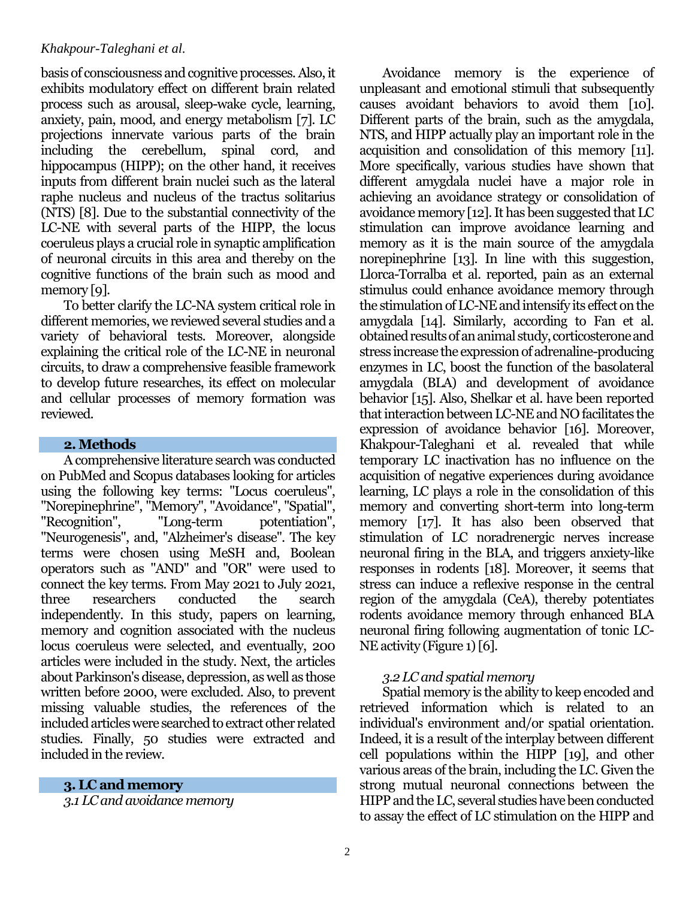basis of consciousness and cognitive processes. Also, it exhibits modulatory effect on different brain related process such as arousal, sleep-wake cycle, learning, anxiety, pain, mood, and energy metabolism [7]. LC projections innervate various parts of the brain including the cerebellum, spinal cord, and hippocampus (HIPP); on the other hand, it receives inputs from different brain nuclei such as the lateral raphe nucleus and nucleus of the tractus solitarius (NTS) [8]. Due to the substantial connectivity of the LC-NE with several parts of the HIPP, the locus coeruleus plays a crucial role in synaptic amplification of neuronal circuits in this area and thereby on the cognitive functions of the brain such as mood and memory [9].

To better clarify the LC-NA system critical role in different memories, we reviewed several studies and a variety of behavioral tests. Moreover, alongside explaining the critical role of the LC-NE in neuronal circuits, to draw a comprehensive feasible framework to develop future researches, its effect on molecular and cellular processes of memory formation was reviewed.

## **2. Methods**

A comprehensive literature search was conducted on PubMed and Scopus databases looking for articles using the following key terms: "Locus coeruleus", "Norepinephrine", "Memory", "Avoidance", "Spatial", "Recognition", "Long-term potentiation", "Neurogenesis", and, "Alzheimer's disease". The key terms were chosen using MeSH and, Boolean operators such as "AND" and "OR" were used to connect the key terms. From May 2021 to July 2021, three researchers conducted the search independently. In this study, papers on learning, memory and cognition associated with the nucleus locus coeruleus were selected, and eventually, 200 articles were included in the study. Next, the articles about Parkinson's disease, depression, as well as those written before 2000, were excluded. Also, to prevent missing valuable studies, the references of the included articles were searched to extract other related studies. Finally, 50 studies were extracted and included in the review.

**3. LC and memory**

*3.1 LC and avoidance memory*

Avoidance memory is the experience of unpleasant and emotional stimuli that subsequently causes avoidant behaviors to avoid them [10]. Different parts of the brain, such as the amygdala, NTS, and HIPP actually play an important role in the acquisition and consolidation of this memory [11]. More specifically, various studies have shown that different amygdala nuclei have a major role in achieving an avoidance strategy or consolidation of avoidance memory [12]. It has been suggested that LC stimulation can improve avoidance learning and memory as it is the main source of the amygdala norepinephrine [13]. In line with this suggestion, Llorca-Torralba et al. reported, pain as an external stimulus could enhance avoidance memory through the stimulation of LC-NE and intensify its effect on the amygdala [14]. Similarly, according to Fan et al. obtained results of an animal study, corticosterone and stress increase the expression of adrenaline-producing enzymes in LC, boost the function of the basolateral amygdala (BLA) and development of avoidance behavior [15]. Also, Shelkar et al. have been reported that interaction between LC-NE and NO facilitates the expression of avoidance behavior [16]. Moreover, Khakpour-Taleghani et al. revealed that while temporary LC inactivation has no influence on the acquisition of negative experiences during avoidance learning, LC plays a role in the consolidation of this memory and converting short-term into long-term memory [17]. It has also been observed that stimulation of LC noradrenergic nerves increase neuronal firing in the BLA, and triggers anxiety-like responses in rodents [18]. Moreover, it seems that stress can induce a reflexive response in the central region of the amygdala (CeA), thereby potentiates rodents avoidance memory through enhanced BLA neuronal firing following augmentation of tonic LC-NE activity (Figure 1) [6].

## *3.2 LC and spatial memory*

Spatial memory is the ability to keep encoded and retrieved information which is related to an individual's environment and/or spatial orientation. Indeed, it is a result of the interplay between different cell populations within the HIPP [19], and other various areas of the brain, including the LC. Given the strong mutual neuronal connections between the HIPP and the LC, several studies have been conducted to assay the effect of LC stimulation on the HIPP and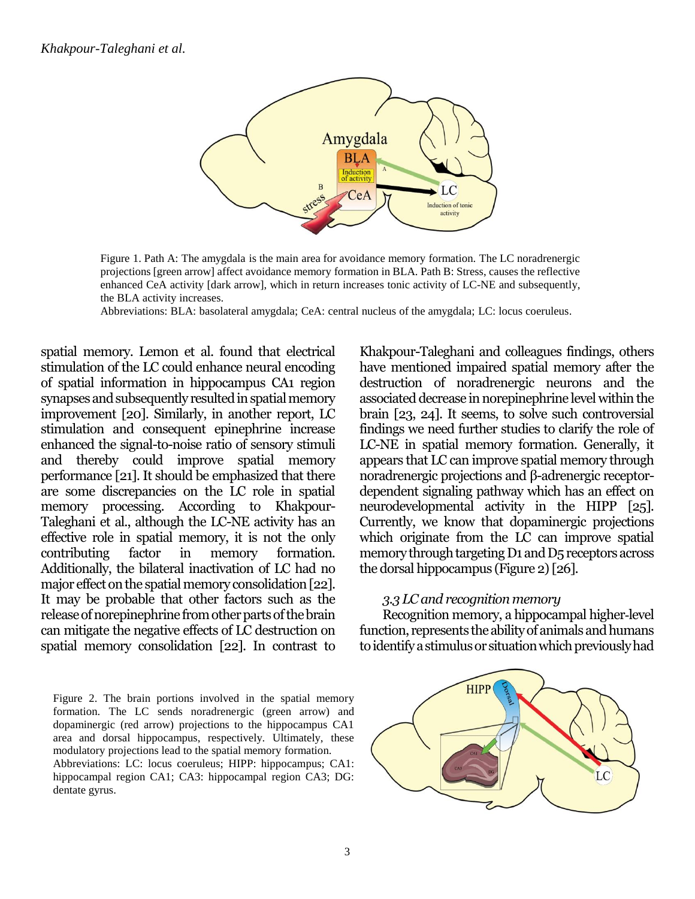

Figure 1. Path A: The amygdala is the main area for avoidance memory formation. The LC noradrenergic projections [green arrow] affect avoidance memory formation in BLA. Path B: Stress, causes the reflective enhanced CeA activity [dark arrow], which in return increases tonic activity of LC-NE and subsequently, the BLA activity increases.

Abbreviations: BLA: basolateral amygdala; CeA: central nucleus of the amygdala; LC: locus coeruleus.

spatial memory. Lemon et al. found that electrical stimulation of the LC could enhance neural encoding of spatial information in hippocampus CA1 region synapses and subsequently resulted in spatial memory improvement [20]. Similarly, in another report, LC stimulation and consequent epinephrine increase enhanced the signal-to-noise ratio of sensory stimuli and thereby could improve spatial memory performance [21]. It should be emphasized that there are some discrepancies on the LC role in spatial memory processing. According to Khakpour-Taleghani et al., although the LC-NE activity has an effective role in spatial memory, it is not the only contributing factor in memory formation. Additionally, the bilateral inactivation of LC had no major effect on the spatial memory consolidation [22]. It may be probable that other factors such as the release of norepinephrine from other parts of the brain can mitigate the negative effects of LC destruction on spatial memory consolidation [22]. In contrast to Khakpour-Taleghani and colleagues findings, others have mentioned impaired spatial memory after the destruction of noradrenergic neurons and the associated decrease in norepinephrine level within the brain [23, 24]. It seems, to solve such controversial findings we need further studies to clarify the role of LC-NE in spatial memory formation. Generally, it appears that LC can improve spatial memory through noradrenergic projections and β-adrenergic receptordependent signaling pathway which has an effect on neurodevelopmental activity in the HIPP [25]. Currently, we know that dopaminergic projections which originate from the LC can improve spatial memory through targeting D1 and D5 receptors across the dorsal hippocampus (Figure 2)[26].

## *3.3 LC and recognition memory*

Recognition memory, a hippocampal higher-level function, represents the ability of animals and humans to identify a stimulus or situation which previously had

Figure 2. The brain portions involved in the spatial memory formation. The LC sends noradrenergic (green arrow) and dopaminergic (red arrow) projections to the hippocampus CA1 area and dorsal hippocampus, respectively. Ultimately, these modulatory projections lead to the spatial memory formation. Abbreviations: LC: locus coeruleus; HIPP: hippocampus; CA1: hippocampal region CA1; CA3: hippocampal region CA3; DG: dentate gyrus.

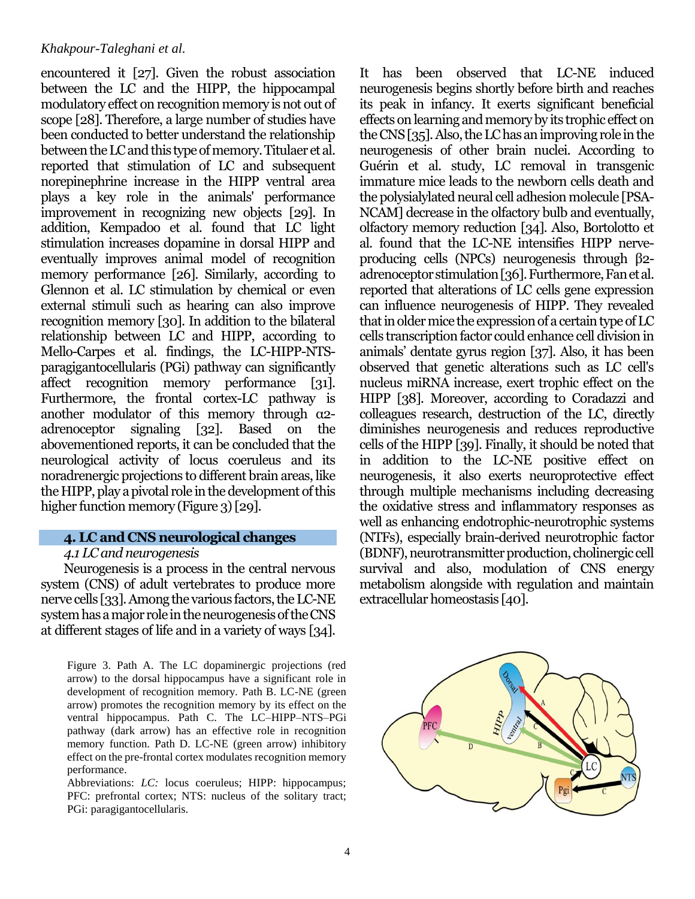encountered it [27]. Given the robust association between the LC and the HIPP, the hippocampal modulatory effect on recognition memory is not out of scope [28]. Therefore, a large number of studies have been conducted to better understand the relationship between the LC and this type of memory. Titulaer et al. reported that stimulation of LC and subsequent norepinephrine increase in the HIPP ventral area plays a key role in the animals' performance improvement in recognizing new objects [29]. In addition, Kempadoo et al. found that LC light stimulation increases dopamine in dorsal HIPP and eventually improves animal model of recognition memory performance [26]. Similarly, according to Glennon et al. LC stimulation by chemical or even external stimuli such as hearing can also improve recognition memory [30]. In addition to the bilateral relationship between LC and HIPP, according to Mello-Carpes et al. findings, the LC-HIPP-NTSparagigantocellularis (PGi) pathway can significantly affect recognition memory performance [31]. Furthermore, the frontal cortex-LC pathway is another modulator of this memory through α2 adrenoceptor signaling [32]. Based on the abovementioned reports, it can be concluded that the neurological activity of locus coeruleus and its noradrenergic projections to different brain areas, like the HIPP, play a pivotal role in the development of this higher function memory (Figure 3) [29].

# **4. LC and CNS neurological changes**

## *4.1 LC and neurogenesis*

Neurogenesis is a process in the central nervous system (CNS) of adult vertebrates to produce more nerve cells [33].Among the various factors, the LC-NE systemhas a major role in the neurogenesis of the CNS at different stages of life and in a variety of ways [34].

Figure 3. Path A. The LC dopaminergic projections (red arrow) to the dorsal hippocampus have a significant role in development of recognition memory. Path B. LC-NE (green arrow) promotes the recognition memory by its effect on the ventral hippocampus. Path C. The LC–HIPP–NTS–PGi pathway (dark arrow) has an effective role in recognition memory function. Path D. LC-NE (green arrow) inhibitory effect on the pre-frontal cortex modulates recognition memory performance.

Abbreviations: *LC*: locus coeruleus; HIPP: hippocampus; PFC: prefrontal cortex; NTS: nucleus of the solitary tract; PGi: paragigantocellularis.

It has been observed that LC-NE induced neurogenesis begins shortly before birth and reaches its peak in infancy. It exerts significant beneficial effects on learning and memory by its trophic effect on the CNS [35]. Also, the LC has an improving role in the neurogenesis of other brain nuclei. According to Guérin et al. study, LC removal in transgenic immature mice leads to the newborn cells death and the polysialylated neural cell adhesion molecule [PSA-NCAM] decrease in the olfactory bulb and eventually, olfactory memory reduction [34]. Also, Bortolotto et al. found that the LC-NE intensifies HIPP nerveproducing cells (NPCs) neurogenesis through β2 adrenoceptor stimulation [36]. Furthermore, Fan et al. reported that alterations of LC cells gene expression can influence neurogenesis of HIPP. They revealed that in older mice the expression of a certain type of LC cells transcription factor could enhance cell division in animals' dentate gyrus region [37]. Also, it has been observed that genetic alterations such as LC cell's nucleus miRNA increase, exert trophic effect on the HIPP [38]. Moreover, according to Coradazzi and colleagues research, destruction of the LC, directly diminishes neurogenesis and reduces reproductive cells of the HIPP [39]. Finally, it should be noted that in addition to the LC-NE positive effect on neurogenesis, it also exerts neuroprotective effect through multiple mechanisms including decreasing the oxidative stress and inflammatory responses as well as enhancing endotrophic-neurotrophic systems (NTFs), especially brain-derived neurotrophic factor (BDNF),neurotransmitter production, cholinergic cell survival and also, modulation of CNS energy metabolism alongside with regulation and maintain extracellular homeostasis [40].

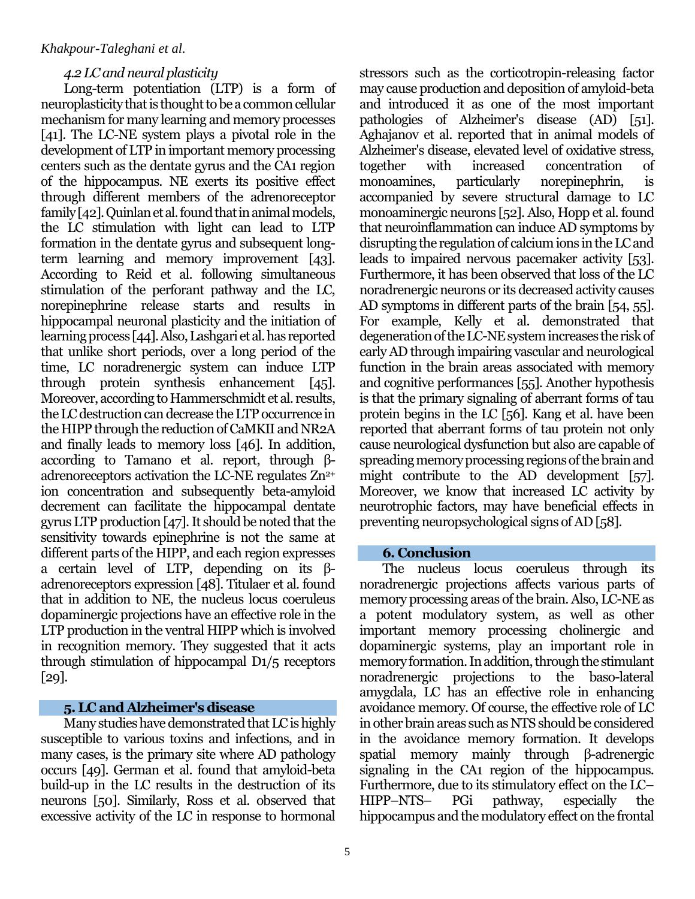## *4.2 LC and neural plasticity*

Long-term potentiation (LTP) is a form of neuroplasticity that is thought to be a common cellular mechanism for many learning and memory processes [41]. The LC-NE system plays a pivotal role in the development of LTP in important memory processing centers such as the dentate gyrus and the CA1 region of the hippocampus. NE exerts its positive effect through different members of the adrenoreceptor family [42]. Quinlan et al. found that in animal models, the LC stimulation with light can lead to LTP formation in the dentate gyrus and subsequent longterm learning and memory improvement [43]. According to Reid et al. following simultaneous stimulation of the perforant pathway and the LC, norepinephrine release starts and results in hippocampal neuronal plasticity and the initiation of learning process [44]. Also, Lashgari et al. has reported that unlike short periods, over a long period of the time, LC noradrenergic system can induce LTP through protein synthesis enhancement [45]. Moreover, according to Hammerschmidt et al. results, the LC destruction can decrease the LTP occurrence in the HIPP through the reduction of CaMKII and NR2A and finally leads to memory loss [46]. In addition, according to Tamano et al. report, through βadrenoreceptors activation the LC-NE regulates  $Zn^{2+}$ ion concentration and subsequently beta-amyloid decrement can facilitate the hippocampal dentate gyrus LTP production [47]. It should be noted that the sensitivity towards epinephrine is not the same at different parts of the HIPP, and each region expresses a certain level of LTP, depending on its βadrenoreceptors expression [48]. Titulaer et al. found that in addition to NE, the nucleus locus coeruleus dopaminergic projections have an effective role in the LTP production in the ventral HIPP which is involved in recognition memory. They suggested that it acts through stimulation of hippocampal D1/5 receptors [29].

# **5. LC and Alzheimer's disease**

Many studies have demonstrated that LC is highly susceptible to various toxins and infections, and in many cases, is the primary site where AD pathology occurs [49]. German et al. found that amyloid-beta build-up in the LC results in the destruction of its neurons [50]. Similarly, Ross et al. observed that excessive activity of the LC in response to hormonal stressors such as the corticotropin-releasing factor may cause production and deposition of amyloid-beta and introduced it as one of the most important pathologies of Alzheimer's disease (AD) [51]. Aghajanov et al. reported that in animal models of Alzheimer's disease, elevated level of oxidative stress, together with increased concentration of monoamines, particularly norepinephrin, is accompanied by severe structural damage to LC monoaminergic neurons [52]. Also, Hopp et al. found that neuroinflammation can induce AD symptoms by disrupting the regulation of calcium ions in the LC and leads to impaired nervous pacemaker activity [53]. Furthermore, it has been observed that loss of the LC noradrenergic neurons or its decreased activity causes AD symptoms in different parts of the brain [54, 55]. For example, Kelly et al. demonstrated that degeneration of the LC-NE system increases the risk of early AD through impairing vascular and neurological function in the brain areas associated with memory and cognitive performances [55]. Another hypothesis is that the primary signaling of aberrant forms of tau protein begins in the LC [56]. Kang et al. have been reported that aberrant forms of tau protein not only cause neurological dysfunction but also are capable of spreading memory processing regions of the brain and might contribute to the AD development [57]. Moreover, we know that increased LC activity by neurotrophic factors, may have beneficial effects in preventing neuropsychological signs of AD [58].

## **6. Conclusion**

The nucleus locus coeruleus through its noradrenergic projections affects various parts of memory processing areas of the brain. Also, LC-NE as a potent modulatory system, as well as other important memory processing cholinergic and dopaminergic systems, play an important role in memory formation. In addition, through the stimulant noradrenergic projections to the baso-lateral amygdala, LC has an effective role in enhancing avoidance memory. Of course, the effective role of LC in other brain areas such as NTS should be considered in the avoidance memory formation. It develops spatial memory mainly through β-adrenergic signaling in the CA1 region of the hippocampus. Furthermore, due to its stimulatory effect on the LC– HIPP–NTS– PGi pathway, especially the hippocampus and the modulatory effect on the frontal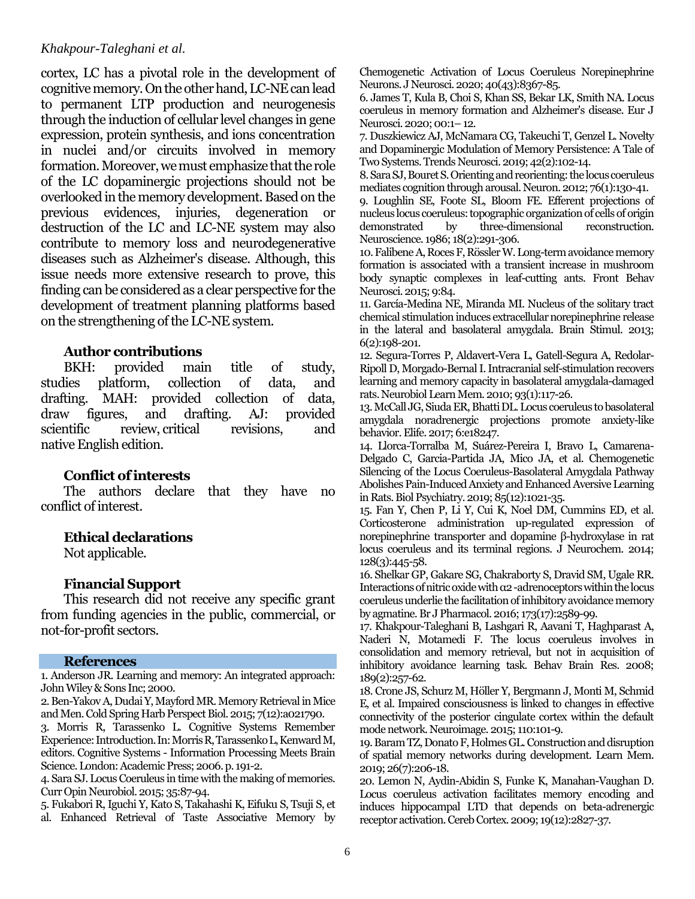cortex, LC has a pivotal role in the development of cognitive memory. On the other hand, LC-NE can lead to permanent LTP production and neurogenesis through the induction of cellular level changes in gene expression, protein synthesis, and ions concentration in nuclei and/or circuits involved in memory formation. Moreover, we must emphasize that the role of the LC dopaminergic projections should not be overlooked in the memory development. Based on the previous evidences, injuries, degeneration or destruction of the LC and LC-NE system may also contribute to memory loss and neurodegenerative diseases such as Alzheimer's disease. Although, this issue needs more extensive research to prove, this finding can be considered as a clear perspective for the development of treatment planning platforms based on the strengthening of the LC-NE system.

## **Author contributions**

BKH: provided main title of study, studies platform, collection of data, and drafting. MAH: provided collection of data, draw figures, and drafting. AJ: provided scientific review, critical revisions, and native English edition.

## **Conflict of interests**

The authors declare that they have no conflict of interest.

## **Ethical declarations**

Not applicable.

# **Financial Support**

This research did not receive any specific grant from funding agencies in the public, commercial, or not-for-profit sectors.

#### **References**

1. Anderson JR. Learning and memory: An integrated approach: John Wiley & Sons Inc; 2000.

[2. Ben-Yakov A, Dudai Y, Mayford MR. Memory Retrieval in Mice](https://www.ncbi.nlm.nih.gov/pubmed/26438596)  [and Men. Cold Spring Harb Perspect Biol. 2015; 7\(12\):a021790.](https://www.ncbi.nlm.nih.gov/pubmed/26438596)

3. Morris R, Tarassenko L. Cognitive Systems Remember Experience: Introduction. In: Morris R, Tarassenko L, KenwardM, editors. Cognitive Systems - Information Processing Meets Brain Science. London: Academic Press; 2006. p. 191-2.

[4. Sara SJ. Locus Coeruleus in time with the making of memories.](https://pubmed.ncbi.nlm.nih.gov/26241632/)  [Curr Opin Neurobiol. 2015; 35:87-94.](https://pubmed.ncbi.nlm.nih.gov/26241632/)

[5. Fukabori R, Iguchi Y, Kato S, Takahashi K, Eifuku S, Tsuji S, et](https://pubmed.ncbi.nlm.nih.gov/32994339/)  [al. Enhanced Retrieval of Taste Associative Memory by](https://pubmed.ncbi.nlm.nih.gov/32994339/)  [Chemogenetic Activation of Locus Coeruleus Norepinephrine](https://pubmed.ncbi.nlm.nih.gov/32994339/)  [Neurons. J Neurosci. 2020; 40\(43\):8367-85.](https://pubmed.ncbi.nlm.nih.gov/32994339/)

[6. James T, Kula B, Choi S, Khan SS, Bekar LK, Smith NA. Locus](https://pubmed.ncbi.nlm.nih.gov/33190318/)  [coeruleus in memory formation and Alzheimer's disease. Eur J](https://pubmed.ncbi.nlm.nih.gov/33190318/)  [Neurosci. 2020; 00:1](https://pubmed.ncbi.nlm.nih.gov/33190318/)–12.

[7. Duszkiewicz AJ, McNamara CG, Takeuchi T, Genzel L. Novelty](https://pubmed.ncbi.nlm.nih.gov/30455050/)  [and Dopaminergic Modulation of Memory Persistence: A Tale of](https://pubmed.ncbi.nlm.nih.gov/30455050/)  [Two Systems. Trends Neurosci. 2019; 42\(2\):102-14.](https://pubmed.ncbi.nlm.nih.gov/30455050/)

[8. Sara SJ, Bouret S. Orienting and reorienting: the locus coeruleus](https://pubmed.ncbi.nlm.nih.gov/23040811/)  [mediates cognition through arousal. Neuron. 2012; 76\(1\):130-41.](https://pubmed.ncbi.nlm.nih.gov/23040811/)

[9. Loughlin SE, Foote SL, Bloom FE.](https://pubmed.ncbi.nlm.nih.gov/3736860/) Efferent projections of [nucleus locus coeruleus: topographic organization of cells of origin](https://pubmed.ncbi.nlm.nih.gov/3736860/)  [demonstrated by three-dimensional reconstruction.](https://pubmed.ncbi.nlm.nih.gov/3736860/)  [Neuroscience. 1986; 18\(2\):291-306.](https://pubmed.ncbi.nlm.nih.gov/3736860/)

[10. Falibene A, Roces F, Rössler W. Long-term avoidance memory](https://pubmed.ncbi.nlm.nih.gov/25904854/)  [formation is associated with a transient increase in mushroom](https://pubmed.ncbi.nlm.nih.gov/25904854/)  [body synaptic complexes in leaf-cutting ants. Front Behav](https://pubmed.ncbi.nlm.nih.gov/25904854/)  [Neurosci. 2015; 9:84.](https://pubmed.ncbi.nlm.nih.gov/25904854/)

[11. García-Medina NE, Miranda MI. Nucleus of the solitary tract](https://pubmed.ncbi.nlm.nih.gov/22543094/)  [chemical stimulation induces extracellular norepinephrine release](https://pubmed.ncbi.nlm.nih.gov/22543094/)  [in the lateral and basolateral amygdala. Brain Stimul. 2013;](https://pubmed.ncbi.nlm.nih.gov/22543094/)  [6\(2\):198-201.](https://pubmed.ncbi.nlm.nih.gov/22543094/)

[12. Segura-Torres P, Aldavert-Vera L, Gatell-Segura A, Redolar-](https://pubmed.ncbi.nlm.nih.gov/19761861/)[Ripoll D, Morgado-Bernal I. Intracranial self-stimulation recovers](https://pubmed.ncbi.nlm.nih.gov/19761861/)  [learning and memory capacity in basolateral amygdala-damaged](https://pubmed.ncbi.nlm.nih.gov/19761861/)  [rats. Neurobiol Learn Mem. 2010; 93\(1\):117-26.](https://pubmed.ncbi.nlm.nih.gov/19761861/)

[13. McCall JG, Siuda ER, Bhatti DL. Locus coeruleus to basolateral](https://pubmed.ncbi.nlm.nih.gov/28708061/)  [amygdala noradrenergic projections promote anxiety-like](https://pubmed.ncbi.nlm.nih.gov/28708061/)  [behavior. Elife. 2017; 6:e18247.](https://pubmed.ncbi.nlm.nih.gov/28708061/)

[14. Llorca-Torralba M, Suárez-Pereira I, Bravo L, Camarena-](https://pubmed.ncbi.nlm.nih.gov/30987747/)[Delgado C, Garcia-Partida JA, Mico JA, et al. Chemogenetic](https://pubmed.ncbi.nlm.nih.gov/30987747/)  [Silencing of the Locus Coeruleus-Basolateral Amygdala Pathway](https://pubmed.ncbi.nlm.nih.gov/30987747/)  [Abolishes Pain-Induced Anxiety and Enhanced Aversive Learning](https://pubmed.ncbi.nlm.nih.gov/30987747/)  [in Rats. Biol Psychiatry. 2019; 85\(12\):1021-35.](https://pubmed.ncbi.nlm.nih.gov/30987747/)

[15. Fan Y, Chen P, Li Y, Cui K, Noel DM, Cummins ED, et al.](https://pubmed.ncbi.nlm.nih.gov/24111919/)  [Corticosterone administration up-regulated expression of](https://pubmed.ncbi.nlm.nih.gov/24111919/)  [norepinephrine transporter and dopamine β](https://pubmed.ncbi.nlm.nih.gov/24111919/)-hydroxylase in rat [locus coeruleus and its terminal regions. J Neurochem. 2014;](https://pubmed.ncbi.nlm.nih.gov/24111919/)  [128\(3\):445-58.](https://pubmed.ncbi.nlm.nih.gov/24111919/)

[16. Shelkar GP, Gakare SG, Chakraborty S, Dravid SM, Ugale RR.](https://doi.org/10.1111/bph.13531)  [Interactions of nitric oxide with α2](https://doi.org/10.1111/bph.13531) -adrenoceptors within the locus [coeruleus underlie the facilitation of inhibitory avoidance memory](https://doi.org/10.1111/bph.13531)  [by agmatine. Br J Pharmacol. 2016; 173\(17\):2589-99.](https://doi.org/10.1111/bph.13531)

[17. Khakpour-Taleghani B, Lashgari R, Aavani T, Haghparast A,](https://pubmed.ncbi.nlm.nih.gov/18295357/)  Naderi [N, Motamedi F. The locus coeruleus involves in](https://pubmed.ncbi.nlm.nih.gov/18295357/)  [consolidation and memory retrieval, but not in acquisition of](https://pubmed.ncbi.nlm.nih.gov/18295357/)  [inhibitory avoidance learning task. Behav Brain Res. 2008;](https://pubmed.ncbi.nlm.nih.gov/18295357/)  [189\(2\):257-62.](https://pubmed.ncbi.nlm.nih.gov/18295357/)

[18. Crone JS, Schurz M, Höller Y, Bergmann J, Monti M, Schmid](https://pubmed.ncbi.nlm.nih.gov/25620493/)  [E, et al. Impaired consciousness is linked to changes in effective](https://pubmed.ncbi.nlm.nih.gov/25620493/)  [connectivity of the posterior cingulate cortex within the default](https://pubmed.ncbi.nlm.nih.gov/25620493/)  [mode network. Neuroimage. 2015; 110:101-9.](https://pubmed.ncbi.nlm.nih.gov/25620493/)

[19. Baram TZ, Donato F, Holmes GL. Construction and disruption](https://pubmed.ncbi.nlm.nih.gov/31209115/)  [of spatial memory networks during development. Learn Mem.](https://pubmed.ncbi.nlm.nih.gov/31209115/)  [2019; 26\(7\):206-18.](https://pubmed.ncbi.nlm.nih.gov/31209115/)

[20. Lemon N, Aydin-Abidin S, Funke K, Manahan-Vaughan D.](https://pubmed.ncbi.nlm.nih.gov/19435710/)  [Locus coeruleus activation facilitates memory encoding and](https://pubmed.ncbi.nlm.nih.gov/19435710/)  [induces hippocampal LTD that depends on beta-adrenergic](https://pubmed.ncbi.nlm.nih.gov/19435710/)  [receptor activation. Cereb Cortex. 2009; 19\(12\):2827-37.](https://pubmed.ncbi.nlm.nih.gov/19435710/)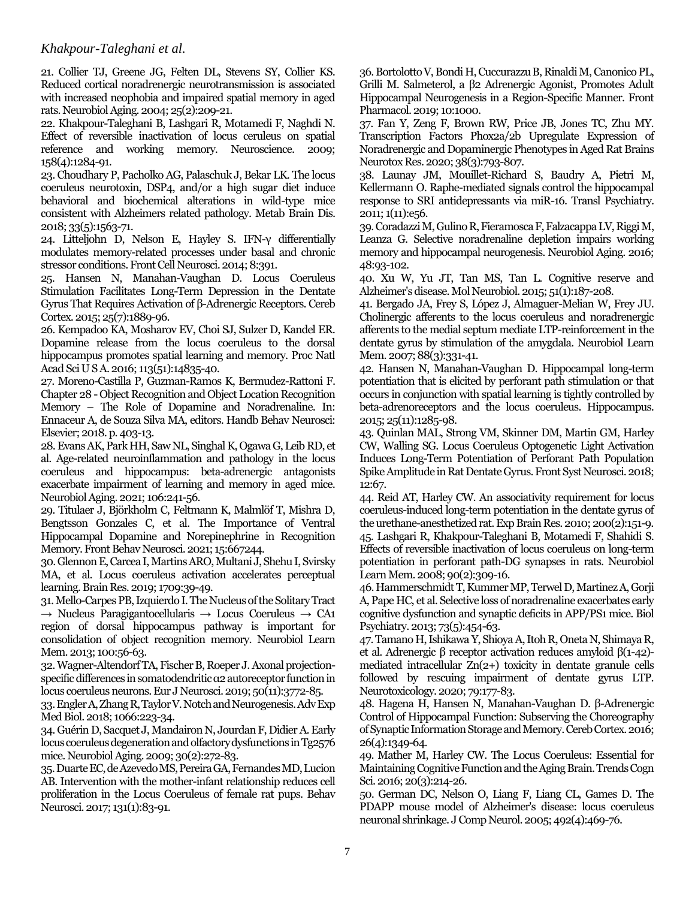[21. Collier TJ, Greene JG, Felten DL, Stevens SY, Collier KS.](https://pubmed.ncbi.nlm.nih.gov/14749139/)  [Reduced cortical noradrenergic neurotransmission is associated](https://pubmed.ncbi.nlm.nih.gov/14749139/)  [with increased neophobia and impaired spatial memory in aged](https://pubmed.ncbi.nlm.nih.gov/14749139/)  [rats. Neurobiol Aging. 2004; 25\(2\):209-21.](https://pubmed.ncbi.nlm.nih.gov/14749139/)

[22. Khakpour-Taleghani B, Lashgari R, Motamedi F, Naghdi N.](https://pubmed.ncbi.nlm.nih.gov/19041693/)  [Effect of reversible inactivation of locus ceruleus on spatial](https://pubmed.ncbi.nlm.nih.gov/19041693/)  [reference and working memory. Neuroscience. 2009;](https://pubmed.ncbi.nlm.nih.gov/19041693/)  [158\(4\):1284-91.](https://pubmed.ncbi.nlm.nih.gov/19041693/)

[23. Choudhary P, Pacholko AG, Palaschuk J, Bekar LK. The locus](https://pubmed.ncbi.nlm.nih.gov/29862455/)  [coeruleus neurotoxin, DSP4, and/or a high sugar diet induce](https://pubmed.ncbi.nlm.nih.gov/29862455/)  [behavioral and biochemical alterations in wild-type mice](https://pubmed.ncbi.nlm.nih.gov/29862455/)  [consistent with Alzheimers related pathology. Metab Brain Dis.](https://pubmed.ncbi.nlm.nih.gov/29862455/)  [2018; 33\(5\):1563-71.](https://pubmed.ncbi.nlm.nih.gov/29862455/)

[24. Litteljohn D, Nelson E, Hayley S. IFN-](https://pubmed.ncbi.nlm.nih.gov/25477784/)γ differentially [modulates memory-related processes under basal and chronic](https://pubmed.ncbi.nlm.nih.gov/25477784/)  [stressor conditions. Front Cell Neurosci. 2014; 8:391.](https://pubmed.ncbi.nlm.nih.gov/25477784/)

[25. Hansen N, Manahan-Vaughan D. Locus Coeruleus](https://pubmed.ncbi.nlm.nih.gov/24464942/)  [Stimulation Facilitates Long-Term Depression in the Dentate](https://pubmed.ncbi.nlm.nih.gov/24464942/)  [Gyrus That Requires Activation of β](https://pubmed.ncbi.nlm.nih.gov/24464942/)-Adrenergic Receptors. Cereb [Cortex. 2015; 25\(7\):1889-96.](https://pubmed.ncbi.nlm.nih.gov/24464942/)

[26. Kempadoo KA, Mosharov EV, Choi SJ, Sulzer D, Kandel ER.](https://pubmed.ncbi.nlm.nih.gov/27930324/)  [Dopamine release from the locus coeruleus to the dorsal](https://pubmed.ncbi.nlm.nih.gov/27930324/)  [hippocampus promotes spatial learning and memory. Proc Natl](https://pubmed.ncbi.nlm.nih.gov/27930324/)  [Acad Sci U S A. 2016; 113\(51\):14835-40.](https://pubmed.ncbi.nlm.nih.gov/27930324/)

27. Moreno-Castilla P, Guzman-Ramos K, Bermudez-Rattoni F. Chapter 28 -Object Recognition and Object Location Recognition Memory – The Role of Dopamine and Noradrenaline. In: Ennaceur A, de Souza Silva MA, editors. Handb Behav Neurosci: Elsevier; 2018. p. 403-13.

[28. Evans AK, Park HH, Saw NL, Singhal K, Ogawa G, Leib RD, et](https://pubmed.ncbi.nlm.nih.gov/34320462/)  [al. Age-related neuroinflammation and pathology in the locus](https://pubmed.ncbi.nlm.nih.gov/34320462/)  [coeruleus and hippocampus: beta-adrenergic antagonists](https://pubmed.ncbi.nlm.nih.gov/34320462/)  [exacerbate impairment of learning and memory in aged mice.](https://pubmed.ncbi.nlm.nih.gov/34320462/)  [Neurobiol Aging. 2021; 106:241-56.](https://pubmed.ncbi.nlm.nih.gov/34320462/)

[29. Titulaer J, Björkholm C, Feltmann K, Malmlöf T, Mishra D,](https://pubmed.ncbi.nlm.nih.gov/33927604/)  [Bengtsson Gonzales C, et al. The Importance of Ventral](https://pubmed.ncbi.nlm.nih.gov/33927604/)  [Hippocampal Dopamine and Norepinephrine in Recognition](https://pubmed.ncbi.nlm.nih.gov/33927604/)  [Memory. Front Behav Neurosci. 2021; 15:667244.](https://pubmed.ncbi.nlm.nih.gov/33927604/)

[30. Glennon E, Carcea I, Martins ARO, Multani J, Shehu I, Svirsky](https://pubmed.ncbi.nlm.nih.gov/29859972/)  [MA, et al. Locus coeruleus activation accelerates perceptual](https://pubmed.ncbi.nlm.nih.gov/29859972/)  [learning. Brain Res. 2019; 1709:39-49.](https://pubmed.ncbi.nlm.nih.gov/29859972/)

[31. Mello-Carpes PB, Izquierdo I. The Nucleus of the Solitary Tract](https://pubmed.ncbi.nlm.nih.gov/23246466/)   $\rightarrow$  [Nucleus Paragigantocellularis](https://pubmed.ncbi.nlm.nih.gov/23246466/)  $\rightarrow$  Locus Coeruleus  $\rightarrow$  CA1 [region of dorsal hippocampus pathway is important for](https://pubmed.ncbi.nlm.nih.gov/23246466/)  [consolidation of object recognition memory. Neurobiol Learn](https://pubmed.ncbi.nlm.nih.gov/23246466/)  [Mem. 2013; 100:56-63.](https://pubmed.ncbi.nlm.nih.gov/23246466/)

[32. Wagner-Altendorf TA, Fischer B, Roeper J. Axonal projection](https://pubmed.ncbi.nlm.nih.gov/31430399/)[specific differences in somatodendritic α2 autoreceptor function in](https://pubmed.ncbi.nlm.nih.gov/31430399/)  [locus coeruleus neurons. Eur J Neurosci. 2019; 50\(11\):3772-85.](https://pubmed.ncbi.nlm.nih.gov/31430399/)

[33. Engler A, ZhangR, Taylor V. Notch and Neurogenesis. Adv Exp](https://pubmed.ncbi.nlm.nih.gov/30030829/)  [Med Biol. 2018; 1066:223-34.](https://pubmed.ncbi.nlm.nih.gov/30030829/)

[34. Guérin D, Sacquet J, Mandairon N, Jourdan F, Didier A. Early](https://pubmed.ncbi.nlm.nih.gov/17618708/)  [locus coeruleus degeneration and olfactory dysfunctions inTg2576](https://pubmed.ncbi.nlm.nih.gov/17618708/)  [mice. Neurobiol Aging. 2009; 30\(2\):272-83.](https://pubmed.ncbi.nlm.nih.gov/17618708/)

[35. Duarte EC, de Azevedo MS, Pereira GA, Fernandes MD, Lucion](https://pubmed.ncbi.nlm.nih.gov/27893223/)  [AB. Intervention with the mother-infant relationship reduces cell](https://pubmed.ncbi.nlm.nih.gov/27893223/)  [proliferation in the Locus Coeruleus of female rat pups. Behav](https://pubmed.ncbi.nlm.nih.gov/27893223/)  [Neurosci. 2017; 131\(1\):83-91.](https://pubmed.ncbi.nlm.nih.gov/27893223/)

[36. Bortolotto V, Bondi H, Cuccurazzu B, Rinaldi M, Canonico PL,](https://pubmed.ncbi.nlm.nih.gov/31572182/)  [Grilli M. Salmeterol, a β2 Adrenergic Agonist, Promotes Ad](https://pubmed.ncbi.nlm.nih.gov/31572182/)ult [Hippocampal Neurogenesis in a Region-Specific Manner. Front](https://pubmed.ncbi.nlm.nih.gov/31572182/)  [Pharmacol. 2019; 10:1000.](https://pubmed.ncbi.nlm.nih.gov/31572182/)

[37. Fan Y, Zeng F, Brown RW, Price JB, Jones TC, Zhu MY.](https://pubmed.ncbi.nlm.nih.gov/32617854/)  [Transcription Factors Phox2a/2b Upregulate Expression of](https://pubmed.ncbi.nlm.nih.gov/32617854/)  [Noradrenergic and Dopaminergic Phenotypes in Aged Rat Brains](https://pubmed.ncbi.nlm.nih.gov/32617854/) [Neurotox Res. 2020; 38\(3\):793-807.](https://pubmed.ncbi.nlm.nih.gov/32617854/)

[38. Launay JM, Mouillet-Richard S, Baudry A, Pietri M,](https://pubmed.ncbi.nlm.nih.gov/22833211/)  [Kellermann O. Raphe-mediated signals control the hippocampal](https://pubmed.ncbi.nlm.nih.gov/22833211/)  [response to SRI antidepressants via miR-16. Transl Psychiatry.](https://pubmed.ncbi.nlm.nih.gov/22833211/)  [2011; 1\(11\):e56.](https://pubmed.ncbi.nlm.nih.gov/22833211/)

[39. Coradazzi M, Gulino R, Fieramosca F, Falzacappa LV, Riggi M,](https://pubmed.ncbi.nlm.nih.gov/27644078/)  [Leanza G. Selective noradrenaline](https://pubmed.ncbi.nlm.nih.gov/27644078/) depletion impairs working [memory and hippocampal neurogenesis. Neurobiol Aging. 2016;](https://pubmed.ncbi.nlm.nih.gov/27644078/)  [48:93-102.](https://pubmed.ncbi.nlm.nih.gov/27644078/)

[40. Xu W, Yu JT, Tan MS, Tan L. Cognitive reserve and](https://pubmed.ncbi.nlm.nih.gov/24794146/)  [Alzheimer's disease. Mol Neurobiol. 2015; 51\(1\):187-208.](https://pubmed.ncbi.nlm.nih.gov/24794146/)

[41. Bergado JA, Frey S, López J, Almaguer-Melian W, Frey JU.](https://pubmed.ncbi.nlm.nih.gov/17596976/)  [Cholinergic afferents to the locus coeruleus and noradrenergic](https://pubmed.ncbi.nlm.nih.gov/17596976/)  [afferents to the medial septum mediate LTP-reinforcement in](https://pubmed.ncbi.nlm.nih.gov/17596976/) the [dentate gyrus by stimulation of the amygdala. Neurobiol Learn](https://pubmed.ncbi.nlm.nih.gov/17596976/)  [Mem. 2007; 88\(3\):331-41.](https://pubmed.ncbi.nlm.nih.gov/17596976/)

[42. Hansen N, Manahan-Vaughan D. Hippocampal long-term](https://pubmed.ncbi.nlm.nih.gov/25727388/)  [potentiation that is elicited by perforant path stimulation or that](https://pubmed.ncbi.nlm.nih.gov/25727388/)  [occurs in conjunction with spatial learning is tightly controlled by](https://pubmed.ncbi.nlm.nih.gov/25727388/)  [beta-adrenoreceptors and the locus coeruleus. Hippocampus.](https://pubmed.ncbi.nlm.nih.gov/25727388/)  [2015; 25\(11\):1285-98.](https://pubmed.ncbi.nlm.nih.gov/25727388/)

[43. Quinlan MAL, Strong VM, Skinner DM, Martin GM, Harley](https://pubmed.ncbi.nlm.nih.gov/30687027/)  [CW, Walling SG. Locus Coeruleus Optogenetic Light Activation](https://pubmed.ncbi.nlm.nih.gov/30687027/)  [Induces Long-Term Potentiation of Perforant Path Population](https://pubmed.ncbi.nlm.nih.gov/30687027/)  [Spike Amplitude in Rat Dentate Gyrus. Front Syst Neurosci. 2018;](https://pubmed.ncbi.nlm.nih.gov/30687027/)  [12:67.](https://pubmed.ncbi.nlm.nih.gov/30687027/)

[44. Reid AT, Harley CW. An associativity requirement for locus](https://pubmed.ncbi.nlm.nih.gov/19644680/)  [coeruleus-induced long-term potentiation in the dentate gyrus of](https://pubmed.ncbi.nlm.nih.gov/19644680/)  [the urethane-anesthetized rat. Exp Brain Res. 2010; 200\(2\):151-9.](https://pubmed.ncbi.nlm.nih.gov/19644680/) [45. Lashgari R, Khakpour-Taleghani B, Motamedi F, Shahidi S.](https://pubmed.ncbi.nlm.nih.gov/18577458/)  [Effects of reversible inactivation of locus coeruleus on long-term](https://pubmed.ncbi.nlm.nih.gov/18577458/)  [potentiation in perforant path-DG synapses in rats. Neurobiol](https://pubmed.ncbi.nlm.nih.gov/18577458/)  [Learn Mem. 2008; 90\(2\):309-16.](https://pubmed.ncbi.nlm.nih.gov/18577458/)

[46. Hammerschmidt T, Kummer MP, Terwel D, Martinez A, Gorji](https://pubmed.ncbi.nlm.nih.gov/22883210/)  [A, Pape HC, et al. Selective loss of noradrenaline exacerbates early](https://pubmed.ncbi.nlm.nih.gov/22883210/)  [cognitive dysfunction and synaptic deficits in APP/PS1 mice. Biol](https://pubmed.ncbi.nlm.nih.gov/22883210/)  [Psychiatry. 2013; 73\(5\):454-63.](https://pubmed.ncbi.nlm.nih.gov/22883210/)

[47. Tamano H, Ishikawa Y, Shioya A, Itoh R, Oneta N, Shimaya R,](https://pubmed.ncbi.nlm.nih.gov/32512026/)  [et al. Adrenergic β receptor activation reduces amyloid β\(1](https://pubmed.ncbi.nlm.nih.gov/32512026/)-42) [mediated intracellular Zn\(2+\) toxicity in dentate granule cells](https://pubmed.ncbi.nlm.nih.gov/32512026/)  [followed by rescuing impairment of dentate gyrus LTP.](https://pubmed.ncbi.nlm.nih.gov/32512026/)  [Neurotoxicology. 2020; 79:177-83.](https://pubmed.ncbi.nlm.nih.gov/32512026/)

[48. Hagena H, Hansen N, Manahan-](https://pubmed.ncbi.nlm.nih.gov/26804338/)Vaughan D. β-Adrenergic [Control of Hippocampal Function: Subserving the Choreography](https://pubmed.ncbi.nlm.nih.gov/26804338/)  [of Synaptic Information Storage and Memory. Cereb Cortex. 2016;](https://pubmed.ncbi.nlm.nih.gov/26804338/)  [26\(4\):1349-64.](https://pubmed.ncbi.nlm.nih.gov/26804338/)

[49. Mather M, Harley CW. The Locus Coeruleus: Essential for](https://pubmed.ncbi.nlm.nih.gov/26895736/)  [Maintaining Cognitive Function and the Aging Brain. Trends Cogn](https://pubmed.ncbi.nlm.nih.gov/26895736/)  [Sci. 2016; 20\(3\):214-26.](https://pubmed.ncbi.nlm.nih.gov/26895736/)

[50. German DC, Nelson O, Liang F, Liang CL, Games D. The](https://pubmed.ncbi.nlm.nih.gov/16228992/)  [PDAPP mouse model of Alzheimer's disease: locus coeruleus](https://pubmed.ncbi.nlm.nih.gov/16228992/)  [neuronal shrinkage. J Comp Neurol. 2005; 492\(4\):469-76.](https://pubmed.ncbi.nlm.nih.gov/16228992/)